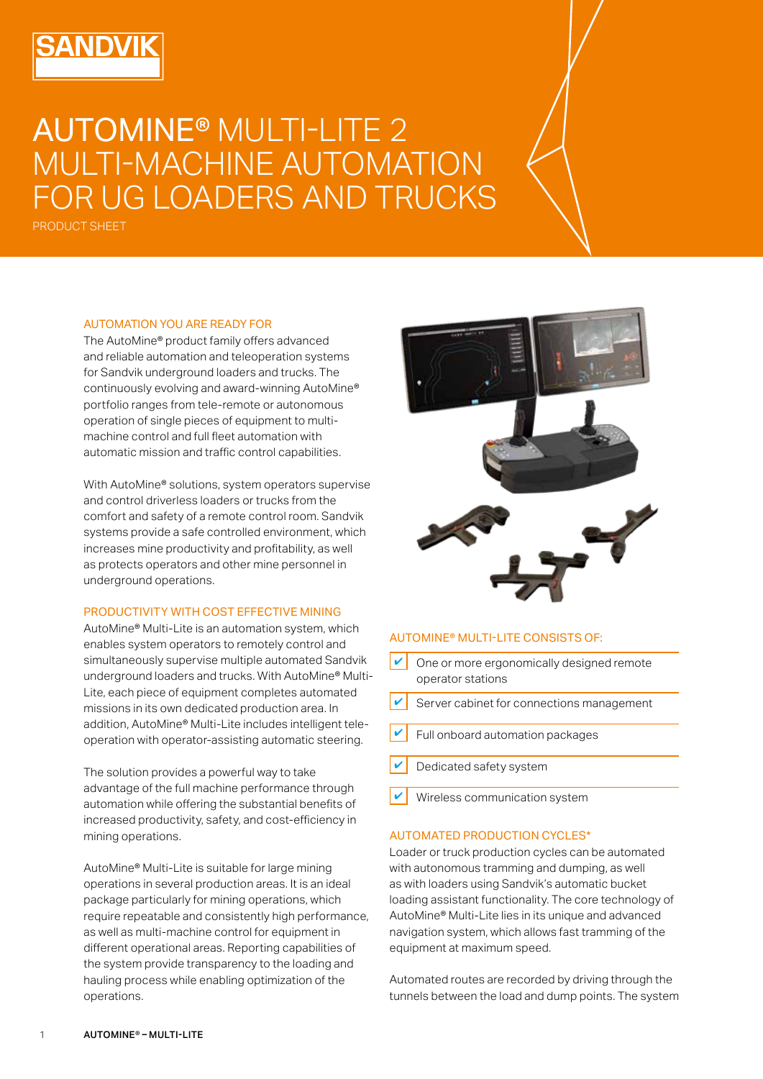# AUTOMINE® MULTI-LITE 2 MULTI-MACHINE AUTOMATION FOR UG LOADERS AND TRUCKS

PRODUCT SHEET

#### AUTOMATION YOU ARE READY FOR

The AutoMine® product family offers advanced and reliable automation and teleoperation systems for Sandvik underground loaders and trucks. The continuously evolving and award-winning AutoMine® portfolio ranges from tele-remote or autonomous operation of single pieces of equipment to multimachine control and full fleet automation with automatic mission and traffic control capabilities.

With AutoMine® solutions, system operators supervise and control driverless loaders or trucks from the comfort and safety of a remote control room. Sandvik systems provide a safe controlled environment, which increases mine productivity and profitability, as well as protects operators and other mine personnel in underground operations.

## PRODUCTIVITY WITH COST EFFECTIVE MINING

AutoMine® Multi-Lite is an automation system, which enables system operators to remotely control and simultaneously supervise multiple automated Sandvik underground loaders and trucks. With AutoMine® Multi-Lite, each piece of equipment completes automated missions in its own dedicated production area. In addition, AutoMine® Multi-Lite includes intelligent teleoperation with operator-assisting automatic steering.

The solution provides a powerful way to take advantage of the full machine performance through automation while offering the substantial benefits of increased productivity, safety, and cost-efficiency in mining operations.

AutoMine® Multi-Lite is suitable for large mining operations in several production areas. It is an ideal package particularly for mining operations, which require repeatable and consistently high performance, as well as multi-machine control for equipment in different operational areas. Reporting capabilities of the system provide transparency to the loading and hauling process while enabling optimization of the operations.



#### AUTOMINE® MULTI-LITE CONSISTS OF:

- One or more ergonomically designed remote operator stations ✔
- ✔ Server cabinet for connections management
- Full onboard automation packages
- ✔ Dedicated safety system
- ✔ Wireless communication system

## AUTOMATED PRODUCTION CYCLES\*

Loader or truck production cycles can be automated with autonomous tramming and dumping, as well as with loaders using Sandvik's automatic bucket loading assistant functionality. The core technology of AutoMine® Multi-Lite lies in its unique and advanced navigation system, which allows fast tramming of the equipment at maximum speed.

Automated routes are recorded by driving through the tunnels between the load and dump points. The system